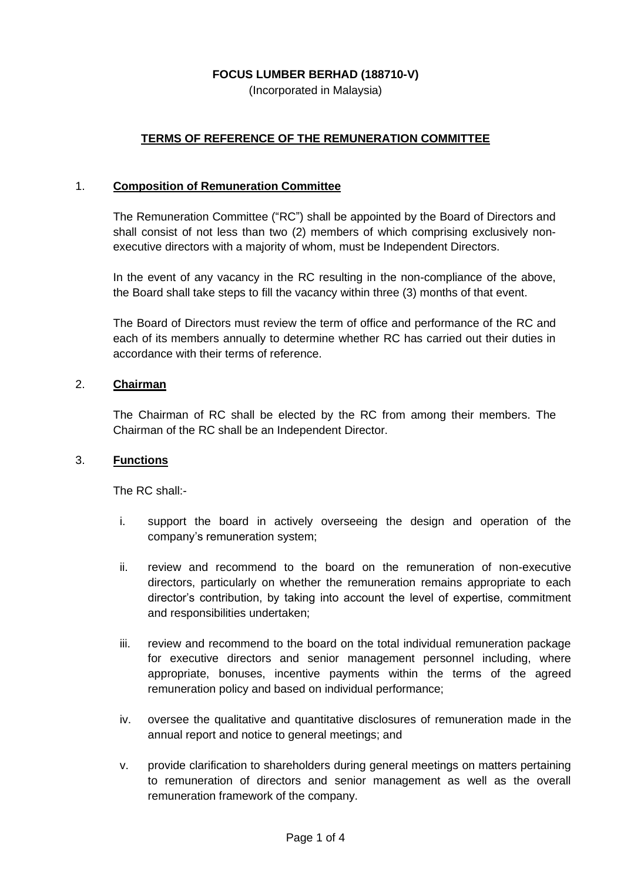## **FOCUS LUMBER BERHAD (188710-V)**

(Incorporated in Malaysia)

# **TERMS OF REFERENCE OF THE REMUNERATION COMMITTEE**

#### 1. **Composition of Remuneration Committee**

The Remuneration Committee ("RC") shall be appointed by the Board of Directors and shall consist of not less than two (2) members of which comprising exclusively nonexecutive directors with a majority of whom, must be Independent Directors.

In the event of any vacancy in the RC resulting in the non-compliance of the above, the Board shall take steps to fill the vacancy within three (3) months of that event.

The Board of Directors must review the term of office and performance of the RC and each of its members annually to determine whether RC has carried out their duties in accordance with their terms of reference.

## 2. **Chairman**

The Chairman of RC shall be elected by the RC from among their members. The Chairman of the RC shall be an Independent Director.

#### 3. **Functions**

The RC shall:-

- i. support the board in actively overseeing the design and operation of the company's remuneration system;
- ii. review and recommend to the board on the remuneration of non-executive directors, particularly on whether the remuneration remains appropriate to each director's contribution, by taking into account the level of expertise, commitment and responsibilities undertaken;
- iii. review and recommend to the board on the total individual remuneration package for executive directors and senior management personnel including, where appropriate, bonuses, incentive payments within the terms of the agreed remuneration policy and based on individual performance;
- iv. oversee the qualitative and quantitative disclosures of remuneration made in the annual report and notice to general meetings; and
- v. provide clarification to shareholders during general meetings on matters pertaining to remuneration of directors and senior management as well as the overall remuneration framework of the company.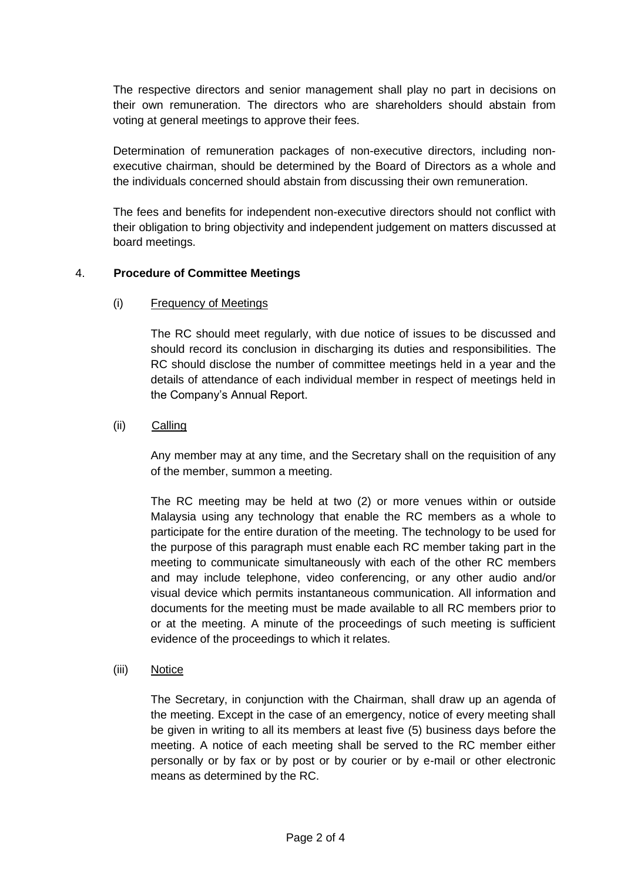The respective directors and senior management shall play no part in decisions on their own remuneration. The directors who are shareholders should abstain from voting at general meetings to approve their fees.

Determination of remuneration packages of non-executive directors, including nonexecutive chairman, should be determined by the Board of Directors as a whole and the individuals concerned should abstain from discussing their own remuneration.

The fees and benefits for independent non-executive directors should not conflict with their obligation to bring objectivity and independent judgement on matters discussed at board meetings.

### 4. **Procedure of Committee Meetings**

### (i) Frequency of Meetings

The RC should meet regularly, with due notice of issues to be discussed and should record its conclusion in discharging its duties and responsibilities. The RC should disclose the number of committee meetings held in a year and the details of attendance of each individual member in respect of meetings held in the Company's Annual Report.

## (ii)Calling

Any member may at any time, and the Secretary shall on the requisition of any of the member, summon a meeting.

The RC meeting may be held at two (2) or more venues within or outside Malaysia using any technology that enable the RC members as a whole to participate for the entire duration of the meeting. The technology to be used for the purpose of this paragraph must enable each RC member taking part in the meeting to communicate simultaneously with each of the other RC members and may include telephone, video conferencing, or any other audio and/or visual device which permits instantaneous communication. All information and documents for the meeting must be made available to all RC members prior to or at the meeting. A minute of the proceedings of such meeting is sufficient evidence of the proceedings to which it relates.

(iii) Notice

The Secretary, in conjunction with the Chairman, shall draw up an agenda of the meeting. Except in the case of an emergency, notice of every meeting shall be given in writing to all its members at least five (5) business days before the meeting. A notice of each meeting shall be served to the RC member either personally or by fax or by post or by courier or by e-mail or other electronic means as determined by the RC.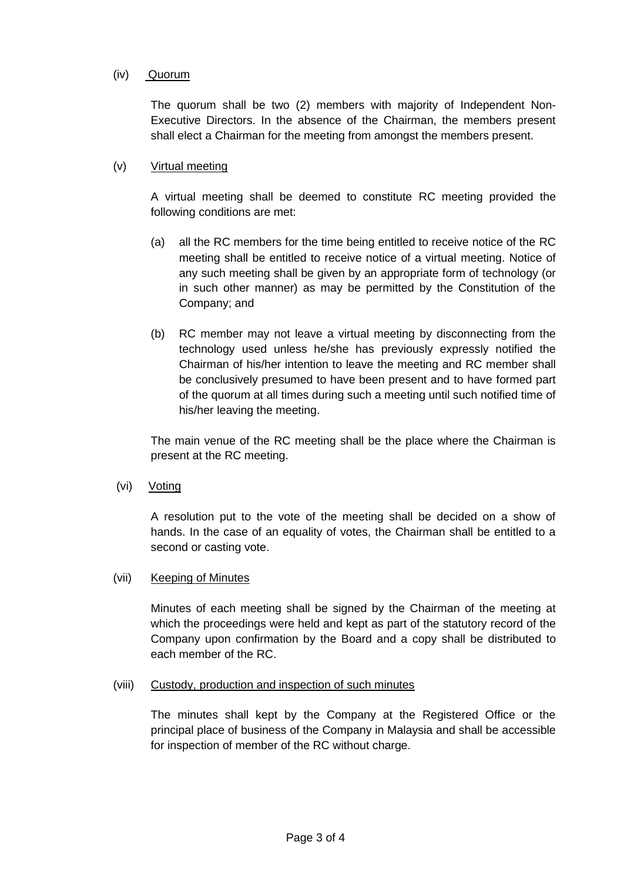## (iv)Quorum

The quorum shall be two (2) members with majority of Independent Non-Executive Directors. In the absence of the Chairman, the members present shall elect a Chairman for the meeting from amongst the members present.

## (v) Virtual meeting

A virtual meeting shall be deemed to constitute RC meeting provided the following conditions are met:

- (a) all the RC members for the time being entitled to receive notice of the RC meeting shall be entitled to receive notice of a virtual meeting. Notice of any such meeting shall be given by an appropriate form of technology (or in such other manner) as may be permitted by the Constitution of the Company; and
- (b) RC member may not leave a virtual meeting by disconnecting from the technology used unless he/she has previously expressly notified the Chairman of his/her intention to leave the meeting and RC member shall be conclusively presumed to have been present and to have formed part of the quorum at all times during such a meeting until such notified time of his/her leaving the meeting.

The main venue of the RC meeting shall be the place where the Chairman is present at the RC meeting.

(vi) Voting

A resolution put to the vote of the meeting shall be decided on a show of hands. In the case of an equality of votes, the Chairman shall be entitled to a second or casting vote.

### (vii) Keeping of Minutes

Minutes of each meeting shall be signed by the Chairman of the meeting at which the proceedings were held and kept as part of the statutory record of the Company upon confirmation by the Board and a copy shall be distributed to each member of the RC.

### (viii) Custody, production and inspection of such minutes

The minutes shall kept by the Company at the Registered Office or the principal place of business of the Company in Malaysia and shall be accessible for inspection of member of the RC without charge.